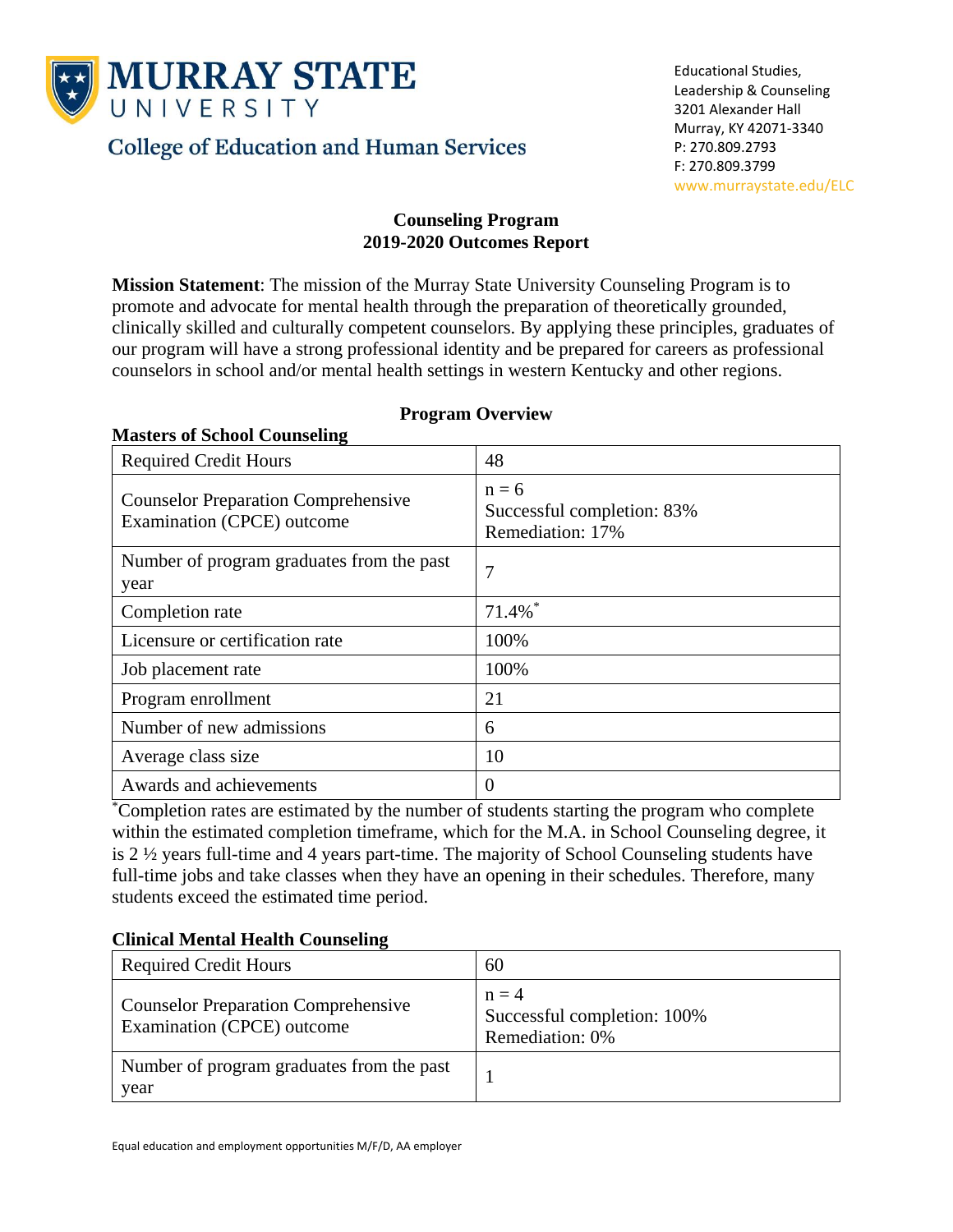

**Masters of School Counseling**

# **College of Education and Human Services**

# **Counseling Program 2019-2020 Outcomes Report**

**Mission Statement**: The mission of the Murray State University Counseling Program is to promote and advocate for mental health through the preparation of theoretically grounded, clinically skilled and culturally competent counselors. By applying these principles, graduates of our program will have a strong professional identity and be prepared for careers as professional counselors in school and/or mental health settings in western Kentucky and other regions.

| <b>Required Credit Hours</b>                                             | 48                                                        |
|--------------------------------------------------------------------------|-----------------------------------------------------------|
| <b>Counselor Preparation Comprehensive</b><br>Examination (CPCE) outcome | $n = 6$<br>Successful completion: 83%<br>Remediation: 17% |
| Number of program graduates from the past<br>year                        | 7                                                         |
| Completion rate                                                          | $71.4\%$ <sup>*</sup>                                     |
| Licensure or certification rate                                          | 100%                                                      |
| Job placement rate                                                       | 100%                                                      |
| Program enrollment                                                       | 21                                                        |
| Number of new admissions                                                 | 6                                                         |
| Average class size                                                       | 10                                                        |
| Awards and achievements                                                  | $\overline{0}$                                            |

# **Program Overview**

\*Completion rates are estimated by the number of students starting the program who complete within the estimated completion timeframe, which for the M.A. in School Counseling degree, it is 2 ½ years full-time and 4 years part-time. The majority of School Counseling students have full-time jobs and take classes when they have an opening in their schedules. Therefore, many students exceed the estimated time period.

# **Clinical Mental Health Counseling**

| <b>Required Credit Hours</b>                                             | 60                                                        |
|--------------------------------------------------------------------------|-----------------------------------------------------------|
| <b>Counselor Preparation Comprehensive</b><br>Examination (CPCE) outcome | $n = 4$<br>Successful completion: 100%<br>Remediation: 0% |
| Number of program graduates from the past<br>year                        |                                                           |